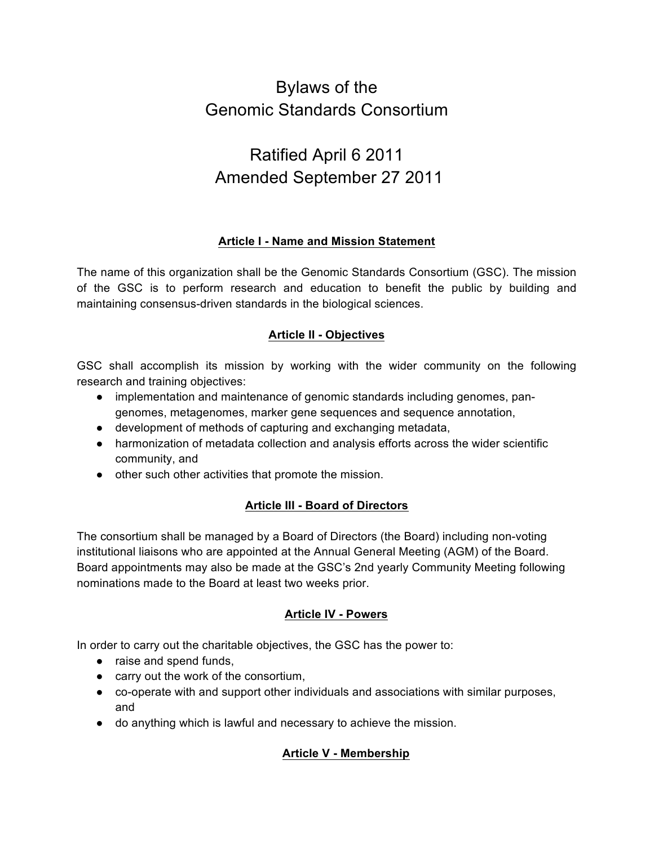# Bylaws of the Genomic Standards Consortium

# Ratified April 6 2011 Amended September 27 2011

# **Article I - Name and Mission Statement**

The name of this organization shall be the Genomic Standards Consortium (GSC). The mission of the GSC is to perform research and education to benefit the public by building and maintaining consensus-driven standards in the biological sciences.

# **Article II - Objectives**

GSC shall accomplish its mission by working with the wider community on the following research and training objectives:

- implementation and maintenance of genomic standards including genomes, pangenomes, metagenomes, marker gene sequences and sequence annotation,
- development of methods of capturing and exchanging metadata,
- harmonization of metadata collection and analysis efforts across the wider scientific community, and
- other such other activities that promote the mission.

# **Article III - Board of Directors**

The consortium shall be managed by a Board of Directors (the Board) including non-voting institutional liaisons who are appointed at the Annual General Meeting (AGM) of the Board. Board appointments may also be made at the GSC's 2nd yearly Community Meeting following nominations made to the Board at least two weeks prior.

# **Article IV - Powers**

In order to carry out the charitable objectives, the GSC has the power to:

- raise and spend funds,
- carry out the work of the consortium,
- co-operate with and support other individuals and associations with similar purposes, and
- do anything which is lawful and necessary to achieve the mission.

# **Article V - Membership**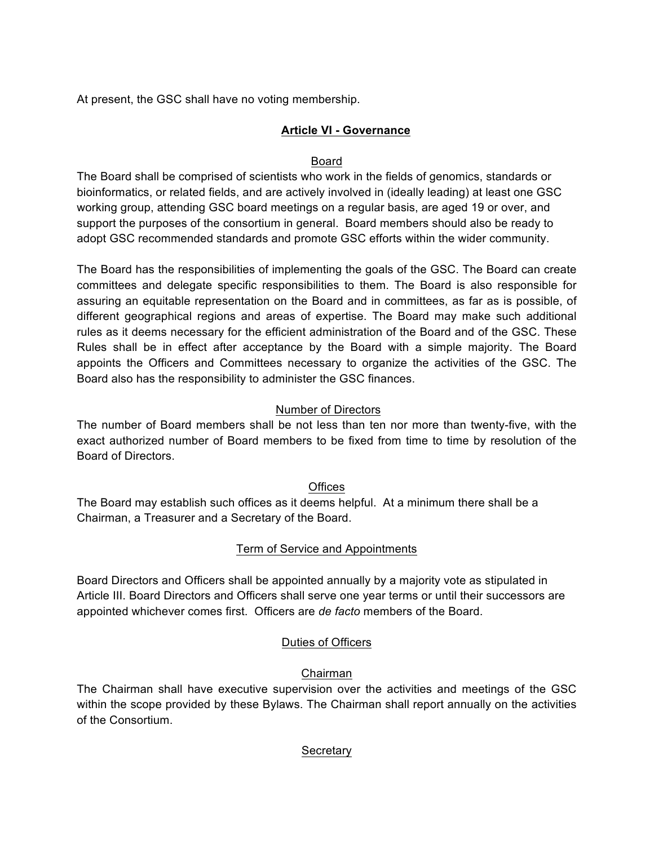At present, the GSC shall have no voting membership.

# **Article VI - Governance**

# Board

The Board shall be comprised of scientists who work in the fields of genomics, standards or bioinformatics, or related fields, and are actively involved in (ideally leading) at least one GSC working group, attending GSC board meetings on a regular basis, are aged 19 or over, and support the purposes of the consortium in general. Board members should also be ready to adopt GSC recommended standards and promote GSC efforts within the wider community.

The Board has the responsibilities of implementing the goals of the GSC. The Board can create committees and delegate specific responsibilities to them. The Board is also responsible for assuring an equitable representation on the Board and in committees, as far as is possible, of different geographical regions and areas of expertise. The Board may make such additional rules as it deems necessary for the efficient administration of the Board and of the GSC. These Rules shall be in effect after acceptance by the Board with a simple majority. The Board appoints the Officers and Committees necessary to organize the activities of the GSC. The Board also has the responsibility to administer the GSC finances.

# Number of Directors

The number of Board members shall be not less than ten nor more than twenty-five, with the exact authorized number of Board members to be fixed from time to time by resolution of the Board of Directors.

## **Offices**

The Board may establish such offices as it deems helpful. At a minimum there shall be a Chairman, a Treasurer and a Secretary of the Board.

# Term of Service and Appointments

Board Directors and Officers shall be appointed annually by a majority vote as stipulated in Article III. Board Directors and Officers shall serve one year terms or until their successors are appointed whichever comes first. Officers are *de facto* members of the Board.

# Duties of Officers

# Chairman

The Chairman shall have executive supervision over the activities and meetings of the GSC within the scope provided by these Bylaws. The Chairman shall report annually on the activities of the Consortium.

## **Secretary**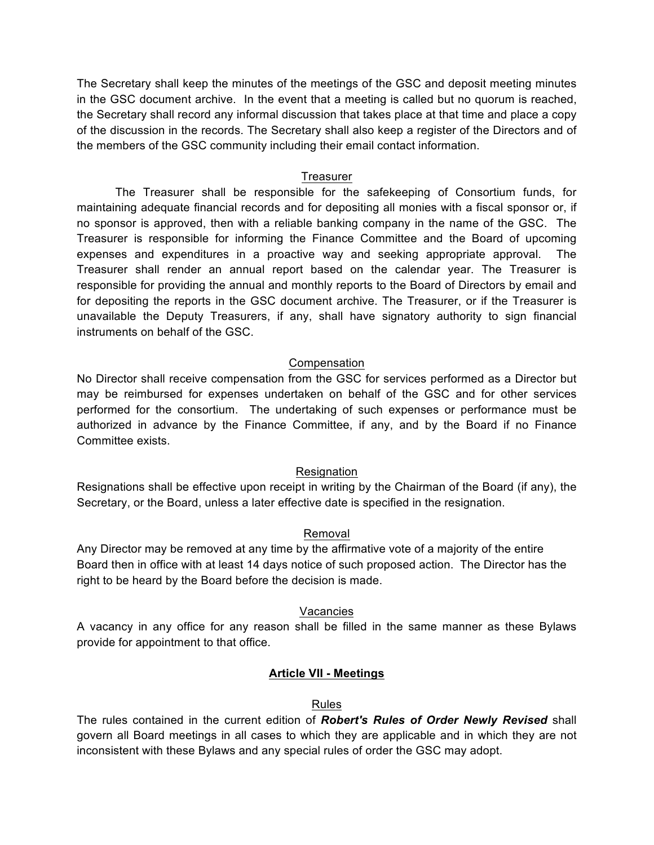The Secretary shall keep the minutes of the meetings of the GSC and deposit meeting minutes in the GSC document archive. In the event that a meeting is called but no quorum is reached, the Secretary shall record any informal discussion that takes place at that time and place a copy of the discussion in the records. The Secretary shall also keep a register of the Directors and of the members of the GSC community including their email contact information.

#### Treasurer

The Treasurer shall be responsible for the safekeeping of Consortium funds, for maintaining adequate financial records and for depositing all monies with a fiscal sponsor or, if no sponsor is approved, then with a reliable banking company in the name of the GSC. The Treasurer is responsible for informing the Finance Committee and the Board of upcoming expenses and expenditures in a proactive way and seeking appropriate approval. The Treasurer shall render an annual report based on the calendar year. The Treasurer is responsible for providing the annual and monthly reports to the Board of Directors by email and for depositing the reports in the GSC document archive. The Treasurer, or if the Treasurer is unavailable the Deputy Treasurers, if any, shall have signatory authority to sign financial instruments on behalf of the GSC.

## Compensation

No Director shall receive compensation from the GSC for services performed as a Director but may be reimbursed for expenses undertaken on behalf of the GSC and for other services performed for the consortium. The undertaking of such expenses or performance must be authorized in advance by the Finance Committee, if any, and by the Board if no Finance Committee exists.

## Resignation

Resignations shall be effective upon receipt in writing by the Chairman of the Board (if any), the Secretary, or the Board, unless a later effective date is specified in the resignation.

## Removal

Any Director may be removed at any time by the affirmative vote of a majority of the entire Board then in office with at least 14 days notice of such proposed action. The Director has the right to be heard by the Board before the decision is made.

#### Vacancies

A vacancy in any office for any reason shall be filled in the same manner as these Bylaws provide for appointment to that office.

## **Article VII - Meetings**

#### Rules

The rules contained in the current edition of *Robert's Rules of Order Newly Revised* shall govern all Board meetings in all cases to which they are applicable and in which they are not inconsistent with these Bylaws and any special rules of order the GSC may adopt.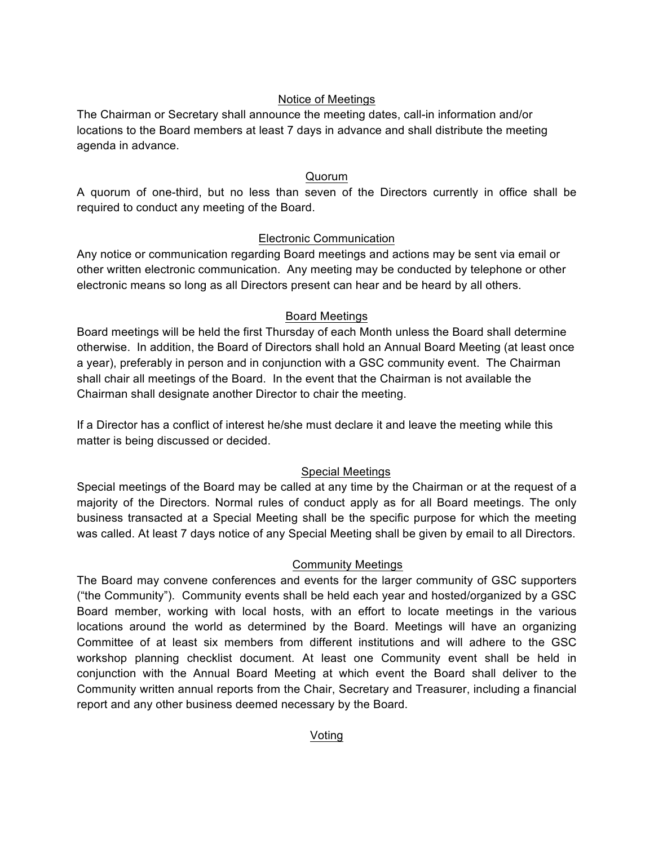# Notice of Meetings

The Chairman or Secretary shall announce the meeting dates, call-in information and/or locations to the Board members at least 7 days in advance and shall distribute the meeting agenda in advance.

# Quorum

A quorum of one-third, but no less than seven of the Directors currently in office shall be required to conduct any meeting of the Board.

# Electronic Communication

Any notice or communication regarding Board meetings and actions may be sent via email or other written electronic communication. Any meeting may be conducted by telephone or other electronic means so long as all Directors present can hear and be heard by all others.

# Board Meetings

Board meetings will be held the first Thursday of each Month unless the Board shall determine otherwise. In addition, the Board of Directors shall hold an Annual Board Meeting (at least once a year), preferably in person and in conjunction with a GSC community event. The Chairman shall chair all meetings of the Board. In the event that the Chairman is not available the Chairman shall designate another Director to chair the meeting.

If a Director has a conflict of interest he/she must declare it and leave the meeting while this matter is being discussed or decided.

# Special Meetings

Special meetings of the Board may be called at any time by the Chairman or at the request of a majority of the Directors. Normal rules of conduct apply as for all Board meetings. The only business transacted at a Special Meeting shall be the specific purpose for which the meeting was called. At least 7 days notice of any Special Meeting shall be given by email to all Directors.

## Community Meetings

The Board may convene conferences and events for the larger community of GSC supporters ("the Community"). Community events shall be held each year and hosted/organized by a GSC Board member, working with local hosts, with an effort to locate meetings in the various locations around the world as determined by the Board. Meetings will have an organizing Committee of at least six members from different institutions and will adhere to the GSC workshop planning checklist document. At least one Community event shall be held in conjunction with the Annual Board Meeting at which event the Board shall deliver to the Community written annual reports from the Chair, Secretary and Treasurer, including a financial report and any other business deemed necessary by the Board.

Voting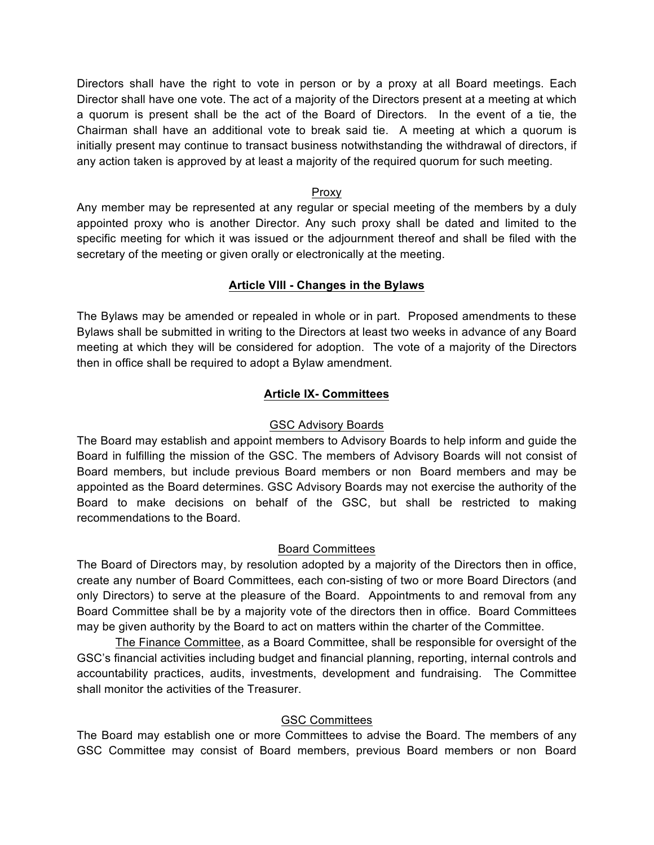Directors shall have the right to vote in person or by a proxy at all Board meetings. Each Director shall have one vote. The act of a majority of the Directors present at a meeting at which a quorum is present shall be the act of the Board of Directors. In the event of a tie, the Chairman shall have an additional vote to break said tie. A meeting at which a quorum is initially present may continue to transact business notwithstanding the withdrawal of directors, if any action taken is approved by at least a majority of the required quorum for such meeting.

### Proxy

Any member may be represented at any regular or special meeting of the members by a duly appointed proxy who is another Director. Any such proxy shall be dated and limited to the specific meeting for which it was issued or the adjournment thereof and shall be filed with the secretary of the meeting or given orally or electronically at the meeting.

# **Article VIII - Changes in the Bylaws**

The Bylaws may be amended or repealed in whole or in part. Proposed amendments to these Bylaws shall be submitted in writing to the Directors at least two weeks in advance of any Board meeting at which they will be considered for adoption. The vote of a majority of the Directors then in office shall be required to adopt a Bylaw amendment.

# **Article IX- Committees**

## GSC Advisory Boards

The Board may establish and appoint members to Advisory Boards to help inform and guide the Board in fulfilling the mission of the GSC. The members of Advisory Boards will not consist of Board members, but include previous Board members or non Board members and may be appointed as the Board determines. GSC Advisory Boards may not exercise the authority of the Board to make decisions on behalf of the GSC, but shall be restricted to making recommendations to the Board.

## Board Committees

The Board of Directors may, by resolution adopted by a majority of the Directors then in office, create any number of Board Committees, each con-sisting of two or more Board Directors (and only Directors) to serve at the pleasure of the Board. Appointments to and removal from any Board Committee shall be by a majority vote of the directors then in office. Board Committees may be given authority by the Board to act on matters within the charter of the Committee.

The Finance Committee, as a Board Committee, shall be responsible for oversight of the GSC's financial activities including budget and financial planning, reporting, internal controls and accountability practices, audits, investments, development and fundraising. The Committee shall monitor the activities of the Treasurer.

## GSC Committees

The Board may establish one or more Committees to advise the Board. The members of any GSC Committee may consist of Board members, previous Board members or non Board